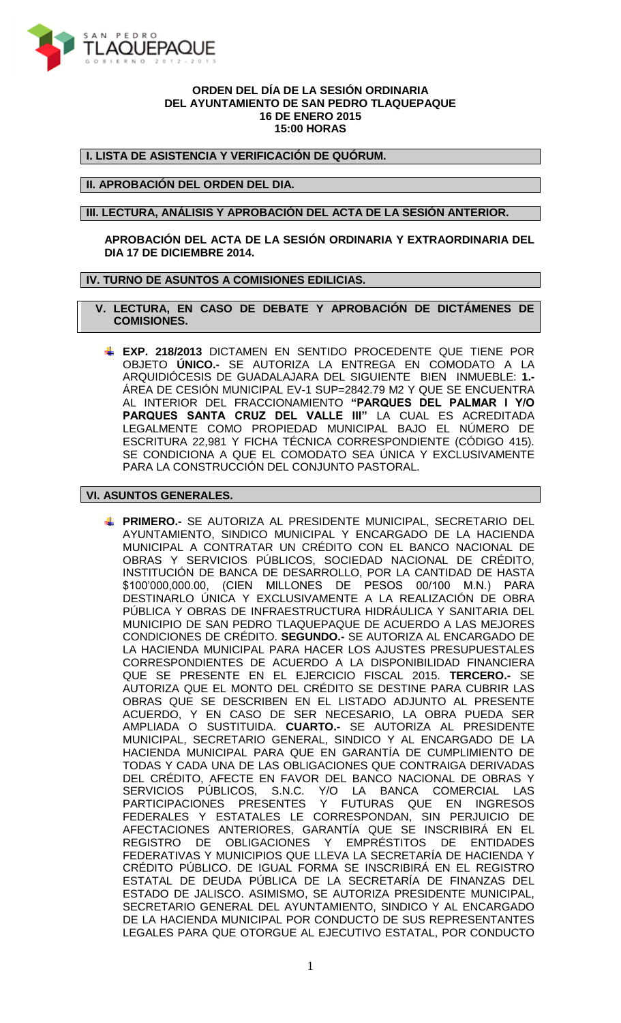

## **ORDEN DEL DÍA DE LA SESIÓN ORDINARIA DEL AYUNTAMIENTO DE SAN PEDRO TLAQUEPAQUE 16 DE ENERO 2015 15:00 HORAS**

**I. LISTA DE ASISTENCIA Y VERIFICACIÓN DE QUÓRUM.**

## **II. APROBACIÓN DEL ORDEN DEL DIA.**

**III. LECTURA, ANÁLISIS Y APROBACIÓN DEL ACTA DE LA SESIÓN ANTERIOR.**

**APROBACIÓN DEL ACTA DE LA SESIÓN ORDINARIA Y EXTRAORDINARIA DEL DIA 17 DE DICIEMBRE 2014.**

## **IV. TURNO DE ASUNTOS A COMISIONES EDILICIAS.**

 **V. LECTURA, EN CASO DE DEBATE Y APROBACIÓN DE DICTÁMENES DE COMISIONES.**

**EXP. 218/2013** DICTAMEN EN SENTIDO PROCEDENTE QUE TIENE POR OBJETO **ÚNICO.-** SE AUTORIZA LA ENTREGA EN COMODATO A LA ARQUIDIÓCESIS DE GUADALAJARA DEL SIGUIENTE BIEN INMUEBLE: **1.-** ÁREA DE CESIÓN MUNICIPAL EV-1 SUP=2842.79 M2 Y QUE SE ENCUENTRA AL INTERIOR DEL FRACCIONAMIENTO **"PARQUES DEL PALMAR I Y/O PARQUES SANTA CRUZ DEL VALLE III"** LA CUAL ES ACREDITADA LEGALMENTE COMO PROPIEDAD MUNICIPAL BAJO EL NÚMERO DE ESCRITURA 22,981 Y FICHA TÉCNICA CORRESPONDIENTE (CÓDIGO 415). SE CONDICIONA A QUE EL COMODATO SEA ÚNICA Y EXCLUSIVAMENTE PARA LA CONSTRUCCIÓN DEL CONJUNTO PASTORAL.

## **VI. ASUNTOS GENERALES.**

**PRIMERO.-** SE AUTORIZA AL PRESIDENTE MUNICIPAL, SECRETARIO DEL AYUNTAMIENTO, SINDICO MUNICIPAL Y ENCARGADO DE LA HACIENDA MUNICIPAL A CONTRATAR UN CRÉDITO CON EL BANCO NACIONAL DE OBRAS Y SERVICIOS PÚBLICOS, SOCIEDAD NACIONAL DE CRÉDITO, INSTITUCIÓN DE BANCA DE DESARROLLO, POR LA CANTIDAD DE HASTA \$100'000,000.00, (CIEN MILLONES DE PESOS 00/100 M.N.) PARA DESTINARLO ÚNICA Y EXCLUSIVAMENTE A LA REALIZACIÓN DE OBRA PÚBLICA Y OBRAS DE INFRAESTRUCTURA HIDRÁULICA Y SANITARIA DEL MUNICIPIO DE SAN PEDRO TLAQUEPAQUE DE ACUERDO A LAS MEJORES CONDICIONES DE CRÉDITO. **SEGUNDO.-** SE AUTORIZA AL ENCARGADO DE LA HACIENDA MUNICIPAL PARA HACER LOS AJUSTES PRESUPUESTALES CORRESPONDIENTES DE ACUERDO A LA DISPONIBILIDAD FINANCIERA QUE SE PRESENTE EN EL EJERCICIO FISCAL 2015. **TERCERO.-** SE AUTORIZA QUE EL MONTO DEL CRÉDITO SE DESTINE PARA CUBRIR LAS OBRAS QUE SE DESCRIBEN EN EL LISTADO ADJUNTO AL PRESENTE ACUERDO, Y EN CASO DE SER NECESARIO, LA OBRA PUEDA SER AMPLIADA O SUSTITUIDA. **CUARTO.-** SE AUTORIZA AL PRESIDENTE MUNICIPAL, SECRETARIO GENERAL, SINDICO Y AL ENCARGADO DE LA HACIENDA MUNICIPAL PARA QUE EN GARANTÍA DE CUMPLIMIENTO DE TODAS Y CADA UNA DE LAS OBLIGACIONES QUE CONTRAIGA DERIVADAS DEL CRÉDITO, AFECTE EN FAVOR DEL BANCO NACIONAL DE OBRAS Y SERVICIOS PÚBLICOS, S.N.C. Y/O LA BANCA COMERCIAL LAS PARTICIPACIONES PRESENTES Y FUTURAS QUE EN INGRESOS FEDERALES Y ESTATALES LE CORRESPONDAN, SIN PERJUICIO DE AFECTACIONES ANTERIORES, GARANTÍA QUE SE INSCRIBIRÁ EN EL REGISTRO DE OBLIGACIONES Y EMPRÉSTITOS DE ENTIDADES FEDERATIVAS Y MUNICIPIOS QUE LLEVA LA SECRETARÍA DE HACIENDA Y CRÉDITO PÚBLICO. DE IGUAL FORMA SE INSCRIBIRÁ EN EL REGISTRO ESTATAL DE DEUDA PÚBLICA DE LA SECRETARÍA DE FINANZAS DEL ESTADO DE JALISCO. ASIMISMO, SE AUTORIZA PRESIDENTE MUNICIPAL, SECRETARIO GENERAL DEL AYUNTAMIENTO, SINDICO Y AL ENCARGADO DE LA HACIENDA MUNICIPAL POR CONDUCTO DE SUS REPRESENTANTES LEGALES PARA QUE OTORGUE AL EJECUTIVO ESTATAL, POR CONDUCTO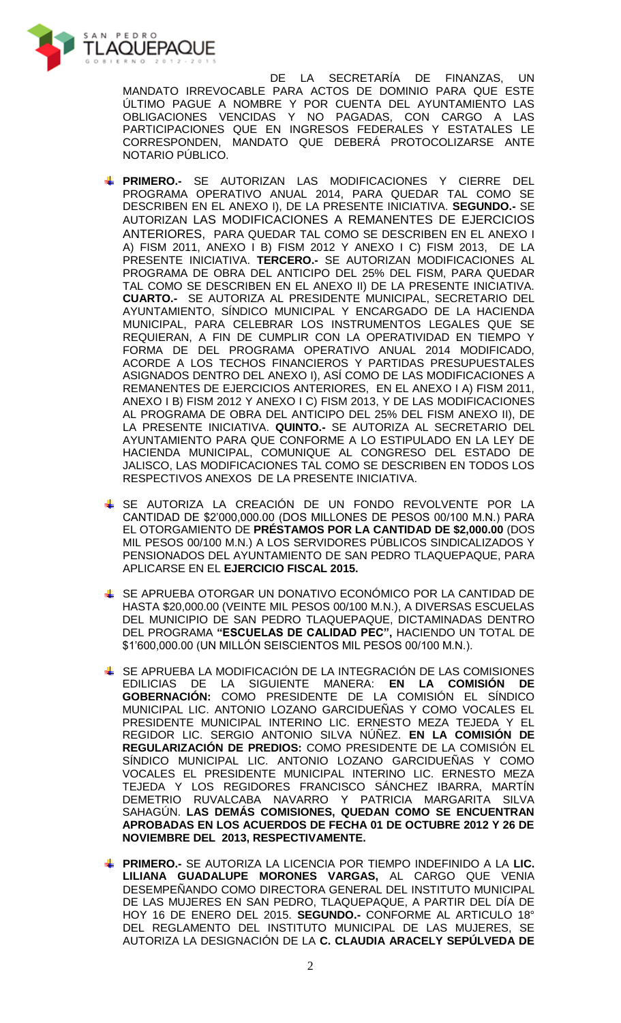

DE LA SECRETARÍA DE FINANZAS, UN MANDATO IRREVOCABLE PARA ACTOS DE DOMINIO PARA QUE ESTE ÚLTIMO PAGUE A NOMBRE Y POR CUENTA DEL AYUNTAMIENTO LAS OBLIGACIONES VENCIDAS Y NO PAGADAS, CON CARGO A LAS PARTICIPACIONES QUE EN INGRESOS FEDERALES Y ESTATALES LE CORRESPONDEN, MANDATO QUE DEBERÁ PROTOCOLIZARSE ANTE NOTARIO PÚBLICO.

- **PRIMERO.-** SE AUTORIZAN LAS MODIFICACIONES Y CIERRE DEL PROGRAMA OPERATIVO ANUAL 2014, PARA QUEDAR TAL COMO SE DESCRIBEN EN EL ANEXO I), DE LA PRESENTE INICIATIVA. **SEGUNDO.-** SE AUTORIZAN LAS MODIFICACIONES A REMANENTES DE EJERCICIOS ANTERIORES, PARA QUEDAR TAL COMO SE DESCRIBEN EN EL ANEXO I A) FISM 2011, ANEXO I B) FISM 2012 Y ANEXO I C) FISM 2013, DE LA PRESENTE INICIATIVA. **TERCERO.-** SE AUTORIZAN MODIFICACIONES AL PROGRAMA DE OBRA DEL ANTICIPO DEL 25% DEL FISM, PARA QUEDAR TAL COMO SE DESCRIBEN EN EL ANEXO II) DE LA PRESENTE INICIATIVA. **CUARTO.-** SE AUTORIZA AL PRESIDENTE MUNICIPAL, SECRETARIO DEL AYUNTAMIENTO, SÍNDICO MUNICIPAL Y ENCARGADO DE LA HACIENDA MUNICIPAL, PARA CELEBRAR LOS INSTRUMENTOS LEGALES QUE SE REQUIERAN, A FIN DE CUMPLIR CON LA OPERATIVIDAD EN TIEMPO Y FORMA DE DEL PROGRAMA OPERATIVO ANUAL 2014 MODIFICADO, ACORDE A LOS TECHOS FINANCIEROS Y PARTIDAS PRESUPUESTALES ASIGNADOS DENTRO DEL ANEXO I), ASÍ COMO DE LAS MODIFICACIONES A REMANENTES DE EJERCICIOS ANTERIORES, EN EL ANEXO I A) FISM 2011, ANEXO I B) FISM 2012 Y ANEXO I C) FISM 2013, Y DE LAS MODIFICACIONES AL PROGRAMA DE OBRA DEL ANTICIPO DEL 25% DEL FISM ANEXO II), DE LA PRESENTE INICIATIVA. **QUINTO.-** SE AUTORIZA AL SECRETARIO DEL AYUNTAMIENTO PARA QUE CONFORME A LO ESTIPULADO EN LA LEY DE HACIENDA MUNICIPAL, COMUNIQUE AL CONGRESO DEL ESTADO DE JALISCO, LAS MODIFICACIONES TAL COMO SE DESCRIBEN EN TODOS LOS RESPECTIVOS ANEXOS DE LA PRESENTE INICIATIVA.
- SE AUTORIZA LA CREACIÓN DE UN FONDO REVOLVENTE POR LA CANTIDAD DE \$2'000,000.00 (DOS MILLONES DE PESOS 00/100 M.N.) PARA EL OTORGAMIENTO DE **PRÉSTAMOS POR LA CANTIDAD DE \$2,000.00** (DOS MIL PESOS 00/100 M.N.) A LOS SERVIDORES PÚBLICOS SINDICALIZADOS Y PENSIONADOS DEL AYUNTAMIENTO DE SAN PEDRO TLAQUEPAQUE, PARA APLICARSE EN EL **EJERCICIO FISCAL 2015.**
- SE APRUEBA OTORGAR UN DONATIVO ECONÓMICO POR LA CANTIDAD DE HASTA \$20,000.00 (VEINTE MIL PESOS 00/100 M.N.), A DIVERSAS ESCUELAS DEL MUNICIPIO DE SAN PEDRO TLAQUEPAQUE, DICTAMINADAS DENTRO DEL PROGRAMA **"ESCUELAS DE CALIDAD PEC",** HACIENDO UN TOTAL DE \$1'600,000.00 (UN MILLÓN SEISCIENTOS MIL PESOS 00/100 M.N.).
- SE APRUEBA LA MODIFICACIÓN DE LA INTEGRACIÓN DE LAS COMISIONES EDILICIAS DE LA SIGUIENTE MANERA: **EN LA COMISIÓN DE GOBERNACIÓN:** COMO PRESIDENTE DE LA COMISIÓN EL SÍNDICO MUNICIPAL LIC. ANTONIO LOZANO GARCIDUEÑAS Y COMO VOCALES EL PRESIDENTE MUNICIPAL INTERINO LIC. ERNESTO MEZA TEJEDA Y EL REGIDOR LIC. SERGIO ANTONIO SILVA NÚÑEZ. **EN LA COMISIÓN DE REGULARIZACIÓN DE PREDIOS:** COMO PRESIDENTE DE LA COMISIÓN EL SÍNDICO MUNICIPAL LIC. ANTONIO LOZANO GARCIDUEÑAS Y COMO VOCALES EL PRESIDENTE MUNICIPAL INTERINO LIC. ERNESTO MEZA TEJEDA Y LOS REGIDORES FRANCISCO SÁNCHEZ IBARRA, MARTÍN DEMETRIO RUVALCABA NAVARRO Y PATRICIA MARGARITA SILVA SAHAGÚN. **LAS DEMÁS COMISIONES, QUEDAN COMO SE ENCUENTRAN APROBADAS EN LOS ACUERDOS DE FECHA 01 DE OCTUBRE 2012 Y 26 DE NOVIEMBRE DEL 2013, RESPECTIVAMENTE.**
- **PRIMERO.-** SE AUTORIZA LA LICENCIA POR TIEMPO INDEFINIDO A LA **LIC. LILIANA GUADALUPE MORONES VARGAS,** AL CARGO QUE VENIA DESEMPEÑANDO COMO DIRECTORA GENERAL DEL INSTITUTO MUNICIPAL DE LAS MUJERES EN SAN PEDRO, TLAQUEPAQUE, A PARTIR DEL DÍA DE HOY 16 DE ENERO DEL 2015. **SEGUNDO.-** CONFORME AL ARTICULO 18° DEL REGLAMENTO DEL INSTITUTO MUNICIPAL DE LAS MUJERES, SE AUTORIZA LA DESIGNACIÓN DE LA **C. CLAUDIA ARACELY SEPÚLVEDA DE**